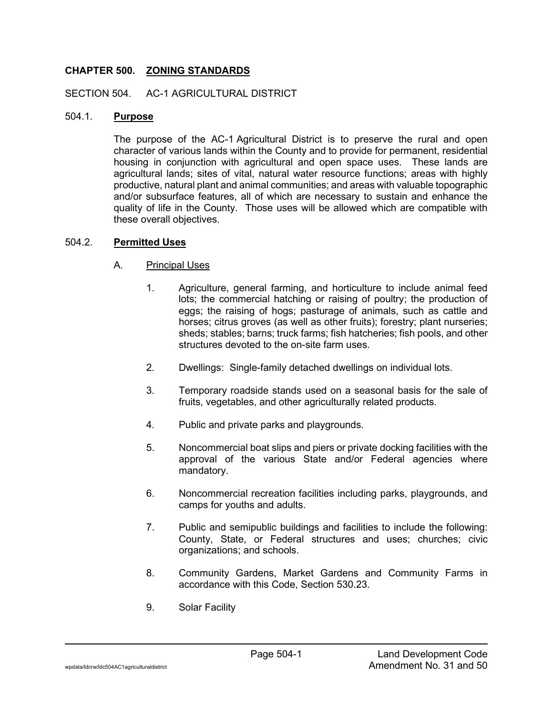# **CHAPTER 500. ZONING STANDARDS**

#### SECTION 504. AC-1 AGRICULTURAL DISTRICT

#### 504.1. **Purpose**

The purpose of the AC-1 Agricultural District is to preserve the rural and open character of various lands within the County and to provide for permanent, residential housing in conjunction with agricultural and open space uses. These lands are agricultural lands; sites of vital, natural water resource functions; areas with highly productive, natural plant and animal communities; and areas with valuable topographic and/or subsurface features, all of which are necessary to sustain and enhance the quality of life in the County. Those uses will be allowed which are compatible with these overall objectives.

#### 504.2. **Permitted Uses**

#### A. Principal Uses

- 1. Agriculture, general farming, and horticulture to include animal feed lots; the commercial hatching or raising of poultry; the production of eggs; the raising of hogs; pasturage of animals, such as cattle and horses; citrus groves (as well as other fruits); forestry; plant nurseries; sheds; stables; barns; truck farms; fish hatcheries; fish pools, and other structures devoted to the on-site farm uses.
- 2. Dwellings: Single-family detached dwellings on individual lots.
- 3. Temporary roadside stands used on a seasonal basis for the sale of fruits, vegetables, and other agriculturally related products.
- 4. Public and private parks and playgrounds.
- 5. Noncommercial boat slips and piers or private docking facilities with the approval of the various State and/or Federal agencies where mandatory.
- 6. Noncommercial recreation facilities including parks, playgrounds, and camps for youths and adults.
- 7. Public and semipublic buildings and facilities to include the following: County, State, or Federal structures and uses; churches; civic organizations; and schools.
- 8. Community Gardens, Market Gardens and Community Farms in accordance with this Code, Section 530.23.
- 9. Solar Facility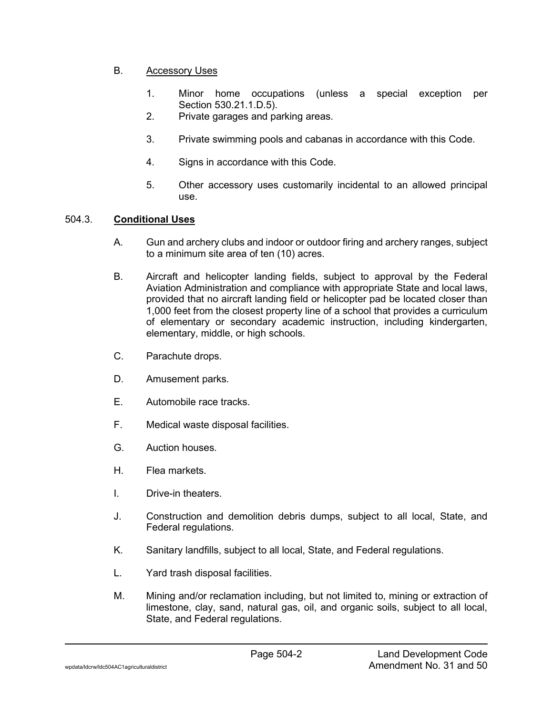# B. Accessory Uses

- 1. Minor home occupations (unless a special exception per Section 530.21.1.D.5).
- 2. Private garages and parking areas.
- 3. Private swimming pools and cabanas in accordance with this Code.
- 4. Signs in accordance with this Code.
- 5. Other accessory uses customarily incidental to an allowed principal use.

# 504.3. **Conditional Uses**

- A. Gun and archery clubs and indoor or outdoor firing and archery ranges, subject to a minimum site area of ten (10) acres.
- B. Aircraft and helicopter landing fields, subject to approval by the Federal Aviation Administration and compliance with appropriate State and local laws, provided that no aircraft landing field or helicopter pad be located closer than 1,000 feet from the closest property line of a school that provides a curriculum of elementary or secondary academic instruction, including kindergarten, elementary, middle, or high schools.
- C. Parachute drops.
- D. Amusement parks.
- E. Automobile race tracks.
- F. Medical waste disposal facilities.
- G. Auction houses.
- H. Flea markets.
- I. Drive-in theaters.
- J. Construction and demolition debris dumps, subject to all local, State, and Federal regulations.
- K. Sanitary landfills, subject to all local, State, and Federal regulations.
- L. Yard trash disposal facilities.
- M. Mining and/or reclamation including, but not limited to, mining or extraction of limestone, clay, sand, natural gas, oil, and organic soils, subject to all local, State, and Federal regulations.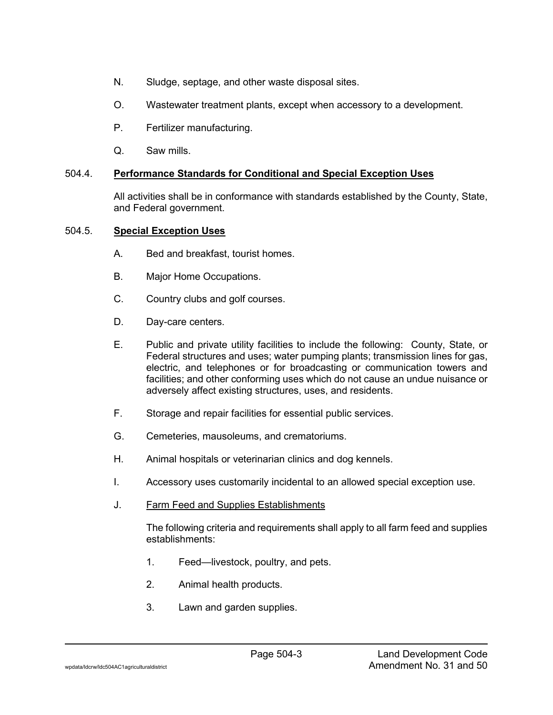- N. Sludge, septage, and other waste disposal sites.
- O. Wastewater treatment plants, except when accessory to a development.
- P. Fertilizer manufacturing.
- Q. Saw mills.

# 504.4. **Performance Standards for Conditional and Special Exception Uses**

All activities shall be in conformance with standards established by the County, State, and Federal government.

## 504.5. **Special Exception Uses**

- A. Bed and breakfast, tourist homes.
- B. Major Home Occupations.
- C. Country clubs and golf courses.
- D. Day-care centers.
- E. Public and private utility facilities to include the following: County, State, or Federal structures and uses; water pumping plants; transmission lines for gas, electric, and telephones or for broadcasting or communication towers and facilities; and other conforming uses which do not cause an undue nuisance or adversely affect existing structures, uses, and residents.
- F. Storage and repair facilities for essential public services.
- G. Cemeteries, mausoleums, and crematoriums.
- H. Animal hospitals or veterinarian clinics and dog kennels.
- I. Accessory uses customarily incidental to an allowed special exception use.
- J. Farm Feed and Supplies Establishments

The following criteria and requirements shall apply to all farm feed and supplies establishments:

- 1. Feed—livestock, poultry, and pets.
- 2. Animal health products.
- 3. Lawn and garden supplies.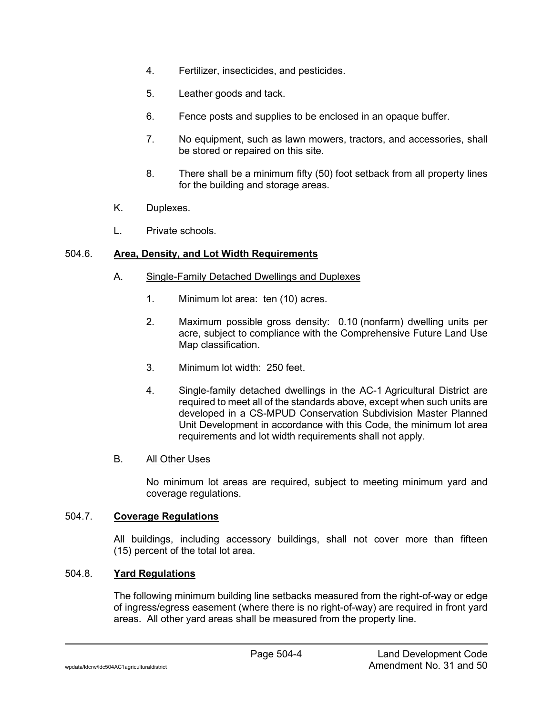- 4. Fertilizer, insecticides, and pesticides.
- 5. Leather goods and tack.
- 6. Fence posts and supplies to be enclosed in an opaque buffer.
- 7. No equipment, such as lawn mowers, tractors, and accessories, shall be stored or repaired on this site.
- 8. There shall be a minimum fifty (50) foot setback from all property lines for the building and storage areas.
- K. Duplexes.
- L. Private schools.

## 504.6. **Area, Density, and Lot Width Requirements**

- A. Single-Family Detached Dwellings and Duplexes
	- 1. Minimum lot area: ten (10) acres.
	- 2. Maximum possible gross density: 0.10 (nonfarm) dwelling units per acre, subject to compliance with the Comprehensive Future Land Use Map classification.
	- 3. Minimum lot width: 250 feet.
	- 4. Single-family detached dwellings in the AC-1 Agricultural District are required to meet all of the standards above, except when such units are developed in a CS-MPUD Conservation Subdivision Master Planned Unit Development in accordance with this Code, the minimum lot area requirements and lot width requirements shall not apply.

## B. All Other Uses

No minimum lot areas are required, subject to meeting minimum yard and coverage regulations.

# 504.7. **Coverage Regulations**

All buildings, including accessory buildings, shall not cover more than fifteen (15) percent of the total lot area.

## 504.8. **Yard Regulations**

The following minimum building line setbacks measured from the right-of-way or edge of ingress/egress easement (where there is no right-of-way) are required in front yard areas. All other yard areas shall be measured from the property line.